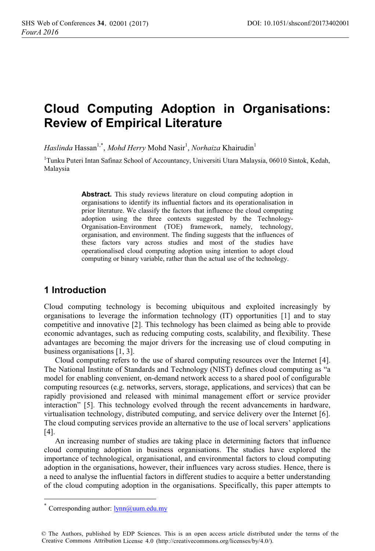# **Cloud Computing Adoption in Organisations: Review of Empirical Literature**

 $Haslinda$  Hassan<sup>1,\*</sup>, *Mohd Herry* Mohd Nasir<sup>1</sup>, *Norhaiza* Khairudin<sup>1</sup>

<sup>1</sup>Tunku Puteri Intan Safinaz School of Accountancy, Universiti Utara Malaysia, 06010 Sintok, Kedah, Malaysia

> **Abstract.** This study reviews literature on cloud computing adoption in organisations to identify its influential factors and its operationalisation in prior literature. We classify the factors that influence the cloud computing adoption using the three contexts suggested by the Technology-Organisation-Environment (TOE) framework, namely, technology, organisation, and environment. The finding suggests that the influences of these factors vary across studies and most of the studies have operationalised cloud computing adoption using intention to adopt cloud computing or binary variable, rather than the actual use of the technology.

# **1 Introduction**

Cloud computing technology is becoming ubiquitous and exploited increasingly by organisations to leverage the information technology (IT) opportunities [1] and to stay competitive and innovative [2]. This technology has been claimed as being able to provide economic advantages, such as reducing computing costs, scalability, and flexibility. These advantages are becoming the major drivers for the increasing use of cloud computing in business organisations [1, 3].

Cloud computing refers to the use of shared computing resources over the Internet [4]. The National Institute of Standards and Technology (NIST) defines cloud computing as "a model for enabling convenient, on-demand network access to a shared pool of configurable computing resources (e.g. networks, servers, storage, applications, and services) that can be rapidly provisioned and released with minimal management effort or service provider interaction" [5]. This technology evolved through the recent advancements in hardware, virtualisation technology, distributed computing, and service delivery over the Internet [6]. The cloud computing services provide an alternative to the use of local servers' applications [4].

An increasing number of studies are taking place in determining factors that influence cloud computing adoption in business organisations. The studies have explored the importance of technological, organisational, and environmental factors to cloud computing adoption in the organisations, however, their influences vary across studies. Hence, there is a need to analyse the influential factors in different studies to acquire a better understanding of the cloud computing adoption in the organisations. Specifically, this paper attempts to

 $\overline{a}$ 

Corresponding author: lynn@uum.edu.my

<sup>©</sup> The Authors, published by EDP Sciences. This is an open access article distributed under the terms of the Creative Commons Attribution License 4.0 (http://creativecommons.org/licenses/by/4.0/).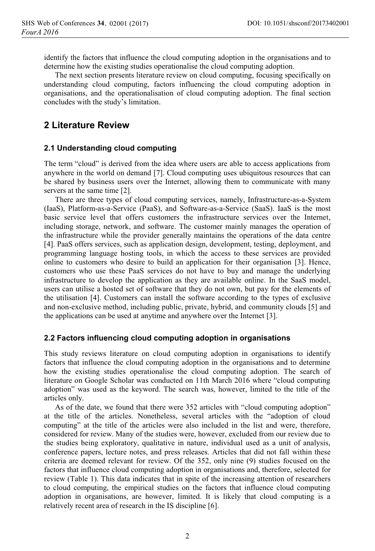identify the factors that influence the cloud computing adoption in the organisations and to determine how the existing studies operationalise the cloud computing adoption.

The next section presents literature review on cloud computing, focusing specifically on understanding cloud computing, factors influencing the cloud computing adoption in organisations, and the operationalisation of cloud computing adoption. The final section concludes with the study's limitation.

## **2 Literature Review**

#### **2.1 Understanding cloud computing**

The term "cloud" is derived from the idea where users are able to access applications from anywhere in the world on demand [7]. Cloud computing uses ubiquitous resources that can be shared by business users over the Internet, allowing them to communicate with many servers at the same time [2].

There are three types of cloud computing services, namely, Infrastructure-as-a-System (IaaS), Platform-as-a-Service (PaaS), and Software-as-a-Service (SaaS). IaaS is the most basic service level that offers customers the infrastructure services over the Internet, including storage, network, and software. The customer mainly manages the operation of the infrastructure while the provider generally maintains the operations of the data centre [4]. PaaS offers services, such as application design, development, testing, deployment, and programming language hosting tools, in which the access to these services are provided online to customers who desire to build an application for their organisation [3]. Hence, customers who use these PaaS services do not have to buy and manage the underlying infrastructure to develop the application as they are available online. In the SaaS model, users can utilise a hosted set of software that they do not own, but pay for the elements of the utilisation [4]. Customers can install the software according to the types of exclusive and non-exclusive method, including public, private, hybrid, and community clouds [5] and the applications can be used at anytime and anywhere over the Internet [3].

#### **2.2 Factors influencing cloud computing adoption in organisations**

This study reviews literature on cloud computing adoption in organisations to identify factors that influence the cloud computing adoption in the organisations and to determine how the existing studies operationalise the cloud computing adoption. The search of literature on Google Scholar was conducted on 11th March 2016 where "cloud computing adoption" was used as the keyword. The search was, however, limited to the title of the articles only.

As of the date, we found that there were 352 articles with "cloud computing adoption" at the title of the articles. Nonetheless, several articles with the "adoption of cloud computing" at the title of the articles were also included in the list and were, therefore, considered for review. Many of the studies were, however, excluded from our review due to the studies being exploratory, qualitative in nature, individual used as a unit of analysis, conference papers, lecture notes, and press releases. Articles that did not fall within these criteria are deemed relevant for review. Of the 352, only nine (9) studies focused on the factors that influence cloud computing adoption in organisations and, therefore, selected for review (Table 1). This data indicates that in spite of the increasing attention of researchers to cloud computing, the empirical studies on the factors that influence cloud computing adoption in organisations, are however, limited. It is likely that cloud computing is a relatively recent area of research in the IS discipline [6].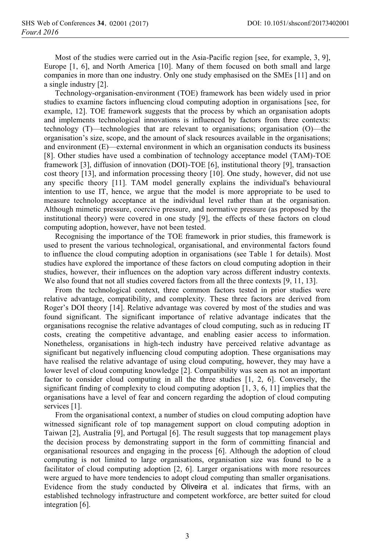Most of the studies were carried out in the Asia-Pacific region [see, for example, 3, 9], Europe [1, 6], and North America [10]. Many of them focused on both small and large companies in more than one industry. Only one study emphasised on the SMEs [11] and on a single industry [2].

Technology-organisation-environment (TOE) framework has been widely used in prior studies to examine factors influencing cloud computing adoption in organisations [see, for example, 12]. TOE framework suggests that the process by which an organisation adopts and implements technological innovations is influenced by factors from three contexts: technology (T)—technologies that are relevant to organisations; organisation (O)—the organisation's size, scope, and the amount of slack resources available in the organisations; and environment (E)—external environment in which an organisation conducts its business [8]. Other studies have used a combination of technology acceptance model (TAM)-TOE framework [3], diffusion of innovation (DOI)-TOE [6], institutional theory [9], transaction cost theory [13], and information processing theory [10]. One study, however, did not use any specific theory [11]. TAM model generally explains the individual's behavioural intention to use IT, hence, we argue that the model is more appropriate to be used to measure technology acceptance at the individual level rather than at the organisation. Although mimetic pressure, coercive pressure, and normative pressure (as proposed by the institutional theory) were covered in one study [9], the effects of these factors on cloud computing adoption, however, have not been tested.

Recognising the importance of the TOE framework in prior studies, this framework is used to present the various technological, organisational, and environmental factors found to influence the cloud computing adoption in organisations (see Table 1 for details). Most studies have explored the importance of these factors on cloud computing adoption in their studies, however, their influences on the adoption vary across different industry contexts. We also found that not all studies covered factors from all the three contexts [9, 11, 13].

From the technological context, three common factors tested in prior studies were relative advantage, compatibility, and complexity. These three factors are derived from Roger's DOI theory [14]. Relative advantage was covered by most of the studies and was found significant. The significant importance of relative advantage indicates that the organisations recognise the relative advantages of cloud computing, such as in reducing IT costs, creating the competitive advantage, and enabling easier access to information. Nonetheless, organisations in high-tech industry have perceived relative advantage as significant but negatively influencing cloud computing adoption. These organisations may have realised the relative advantage of using cloud computing, however, they may have a lower level of cloud computing knowledge [2]. Compatibility was seen as not an important factor to consider cloud computing in all the three studies [1, 2, 6]. Conversely, the significant finding of complexity to cloud computing adoption [1, 3, 6, 11] implies that the organisations have a level of fear and concern regarding the adoption of cloud computing services [1].

From the organisational context, a number of studies on cloud computing adoption have witnessed significant role of top management support on cloud computing adoption in Taiwan [2], Australia [9], and Portugal [6]. The result suggests that top management plays the decision process by demonstrating support in the form of committing financial and organisational resources and engaging in the process [6]. Although the adoption of cloud computing is not limited to large organisations, organisation size was found to be a facilitator of cloud computing adoption [2, 6]. Larger organisations with more resources were argued to have more tendencies to adopt cloud computing than smaller organisations. Evidence from the study conducted by Oliveira et al. indicates that firms, with an established technology infrastructure and competent workforce, are better suited for cloud integration [6].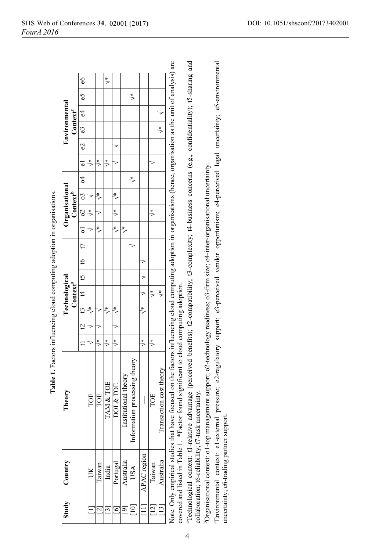|                                              | $\epsilon$ 6           |                      |                          | $\stackrel{*}{\triangleright}$ |                      |                          |                                     |                          |                      |                          |                                                                                                                                                                                                                                                                |                                                                                                                                                                                                                          |
|----------------------------------------------|------------------------|----------------------|--------------------------|--------------------------------|----------------------|--------------------------|-------------------------------------|--------------------------|----------------------|--------------------------|----------------------------------------------------------------------------------------------------------------------------------------------------------------------------------------------------------------------------------------------------------------|--------------------------------------------------------------------------------------------------------------------------------------------------------------------------------------------------------------------------|
| <b>Environmental</b><br>Context <sup>e</sup> | S,                     |                      |                          |                                |                      |                          | $\stackrel{*}{\scriptstyle\diagup}$ |                          |                      |                          |                                                                                                                                                                                                                                                                |                                                                                                                                                                                                                          |
|                                              | $\frac{64}{5}$         |                      |                          |                                |                      |                          |                                     |                          |                      | 7                        |                                                                                                                                                                                                                                                                |                                                                                                                                                                                                                          |
|                                              | $\overline{c}$         |                      |                          |                                |                      |                          |                                     |                          |                      | $\stackrel{*}{\diamond}$ |                                                                                                                                                                                                                                                                |                                                                                                                                                                                                                          |
|                                              | $\mathcal{S}$          |                      |                          |                                |                      |                          |                                     |                          |                      |                          |                                                                                                                                                                                                                                                                |                                                                                                                                                                                                                          |
|                                              | $\overline{\bullet}$   | $\frac{*}{\sqrt{2}}$ | $\frac{*}{\sqrt{2}}$     | ₹                              |                      |                          |                                     |                          |                      |                          |                                                                                                                                                                                                                                                                |                                                                                                                                                                                                                          |
| Organisational<br>Context <sup>b</sup>       | $\mathcal{L}$          |                      |                          |                                |                      |                          | $\frac{*}{\gamma}$                  |                          |                      |                          |                                                                                                                                                                                                                                                                |                                                                                                                                                                                                                          |
|                                              |                        | 7                    | $\frac{*}{\sqrt{2}}$     |                                | $\frac{*}{\sqrt{2}}$ |                          |                                     |                          |                      |                          |                                                                                                                                                                                                                                                                |                                                                                                                                                                                                                          |
|                                              | $ 02 $ $ 03 $          | $\stackrel{*}{\geq}$ |                          |                                | $\frac{*}{\sqrt{2}}$ |                          |                                     |                          | $\frac{*}{\sqrt{2}}$ |                          |                                                                                                                                                                                                                                                                |                                                                                                                                                                                                                          |
|                                              | $\overline{\text{o}1}$ | ₹                    | $\frac{*}{\sqrt{2}}$     |                                | ≸                    | $\stackrel{*}{\diamond}$ |                                     |                          |                      |                          |                                                                                                                                                                                                                                                                |                                                                                                                                                                                                                          |
| Technological<br>Context <sup>a</sup>        | t                      |                      |                          |                                |                      |                          |                                     |                          |                      |                          |                                                                                                                                                                                                                                                                |                                                                                                                                                                                                                          |
|                                              | $\frac{9}{4}$          |                      |                          |                                |                      |                          |                                     |                          |                      |                          |                                                                                                                                                                                                                                                                |                                                                                                                                                                                                                          |
|                                              | ນ<br>ມ                 |                      |                          |                                |                      |                          |                                     | 7                        |                      |                          |                                                                                                                                                                                                                                                                |                                                                                                                                                                                                                          |
|                                              | $\frac{13}{4}$         |                      |                          |                                |                      |                          |                                     | 7                        | $\frac{*}{\sqrt{2}}$ | $\frac{*}{\sqrt{2}}$     |                                                                                                                                                                                                                                                                |                                                                                                                                                                                                                          |
|                                              |                        | $\frac{*}{\sqrt{2}}$ |                          | $\frac{*}{\epsilon}$           | $\frac{*}{\epsilon}$ |                          |                                     | $\stackrel{*}{\diamond}$ |                      |                          |                                                                                                                                                                                                                                                                |                                                                                                                                                                                                                          |
|                                              | $\overline{c}$         |                      |                          |                                |                      |                          |                                     |                          |                      |                          |                                                                                                                                                                                                                                                                |                                                                                                                                                                                                                          |
|                                              | $\overline{a}$         | ₹                    | $\frac{*}{\sqrt{2}}$     | $\frac{*}{\sqrt{2}}$           | $\frac{1}{2}$        |                          |                                     | $\frac{*}{\epsilon}$     | $\frac{*}{\sqrt{2}}$ |                          |                                                                                                                                                                                                                                                                |                                                                                                                                                                                                                          |
| Theory                                       |                        | TOE                  | TOE                      | TAM & TOE                      | DOI & TOE            | Institutional theory     | processing theory<br>Information    |                          | TOE                  | Transaction cost theory  | Note. Only empirical studies that have focused on the factors influencing cloud computing adoption in organisations (hence, organisation as the unit of analysis) are<br>covered and listed in Table 1. *Factor found significant to cloud computing adoption. | "Technological context: t1-relative advantage (perceived benefits); t2-compatibility; t3-complexity; t4-business concerns (e.g., confidentiality); t5-sharing and<br>collaboration; t6-reliability; t7-task uncertainty. |
| Country                                      |                        | š                    | Taiwan                   | India                          | Portugal             | Australia                | USA                                 | APAC region              | Taiwan               | Australia                |                                                                                                                                                                                                                                                                |                                                                                                                                                                                                                          |
| Study                                        |                        |                      | $\overline{\mathcal{S}}$ | ین                             | 61                   | $\overline{\sigma}$      |                                     |                          | $\overline{2}$       | $^{13}$                  |                                                                                                                                                                                                                                                                |                                                                                                                                                                                                                          |

ranications **Table 1.** Factors influencing cloud computing adoption in organisations. j mina adantian in i<br>S ł, Ľ Ś  $\ddot{\phantom{a}}$ ń Table 1

4

<sup>6</sup>Organisational context: ol-top management support; o2-technology readiness; o3-firm size; o4-inter-organisational uncertainty.

<sup>b</sup>Organisational context: ol-top management support; o2-technology readiness; o3-firm size; o4-inter-organisational uncertainty.<br>'Environmental context: el-external pressure; e2-regulatory support; e3-perceived vendor opp 'Environmental context: el-external pressure; e2-regulatory support; e3-perceived vendor opportunism; e4-perceived legal uncertainty; e5-environmental uncertainty; e6-trading partner support. uncertainty; e6-trading partner support.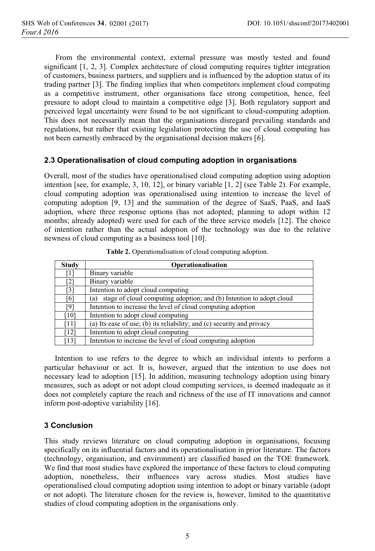From the environmental context, external pressure was mostly tested and found significant [1, 2, 3]. Complex architecture of cloud computing requires tighter integration of customers, business partners, and suppliers and is influenced by the adoption status of its trading partner [3]. The finding implies that when competitors implement cloud computing as a competitive instrument, other organisations face strong competition, hence, feel pressure to adopt cloud to maintain a competitive edge [3]. Both regulatory support and perceived legal uncertainty were found to be not significant to cloud-computing adoption. This does not necessarily mean that the organisations disregard prevailing standards and regulations, but rather that existing legislation protecting the use of cloud computing has not been earnestly embraced by the organisational decision makers [6].

### **2.3 Operationalisation of cloud computing adoption in organisations**

Overall, most of the studies have operationalised cloud computing adoption using adoption intention [see, for example, 3, 10, 12], or binary variable [1, 2] (see Table 2). For example, cloud computing adoption was operationalised using intention to increase the level of computing adoption [9, 13] and the summation of the degree of SaaS, PaaS, and IaaS adoption, where three response options (has not adopted; planning to adopt within 12 months; already adopted) were used for each of the three service models [12]. The choice of intention rather than the actual adoption of the technology was due to the relative newness of cloud computing as a business tool [10].

| <b>Study</b> | <b>Operationalisation</b>                                                  |  |  |  |  |  |  |
|--------------|----------------------------------------------------------------------------|--|--|--|--|--|--|
| Ί1           | Binary variable                                                            |  |  |  |  |  |  |
| [2]          | Binary variable                                                            |  |  |  |  |  |  |
| [3]          | Intention to adopt cloud computing                                         |  |  |  |  |  |  |
| 61           | stage of cloud computing adoption; and (b) Intention to adopt cloud<br>(a) |  |  |  |  |  |  |
| [9]          | Intention to increase the level of cloud computing adoption                |  |  |  |  |  |  |
| [10]         | Intention to adopt cloud computing                                         |  |  |  |  |  |  |
| [11]         | (a) Its ease of use; (b) its reliability; and (c) security and privacy     |  |  |  |  |  |  |
| [12]         | Intention to adopt cloud computing                                         |  |  |  |  |  |  |
| [13]         | Intention to increase the level of cloud computing adoption                |  |  |  |  |  |  |

**Table 2.** Operationalisation of cloud computing adoption.

Intention to use refers to the degree to which an individual intents to perform a particular behaviour or act. It is, however, argued that the intention to use does not necessary lead to adoption [15]. In addition, measuring technology adoption using binary measures, such as adopt or not adopt cloud computing services, is deemed inadequate as it does not completely capture the reach and richness of the use of IT innovations and cannot inform post-adoptive variability [16].

### **3 Conclusion**

This study reviews literature on cloud computing adoption in organisations, focusing specifically on its influential factors and its operationalisation in prior literature. The factors (technology, organisation, and environment) are classified based on the TOE framework. We find that most studies have explored the importance of these factors to cloud computing adoption, nonetheless, their influences vary across studies. Most studies have operationalised cloud computing adoption using intention to adopt or binary variable (adopt or not adopt). The literature chosen for the review is, however, limited to the quantitative studies of cloud computing adoption in the organisations only.